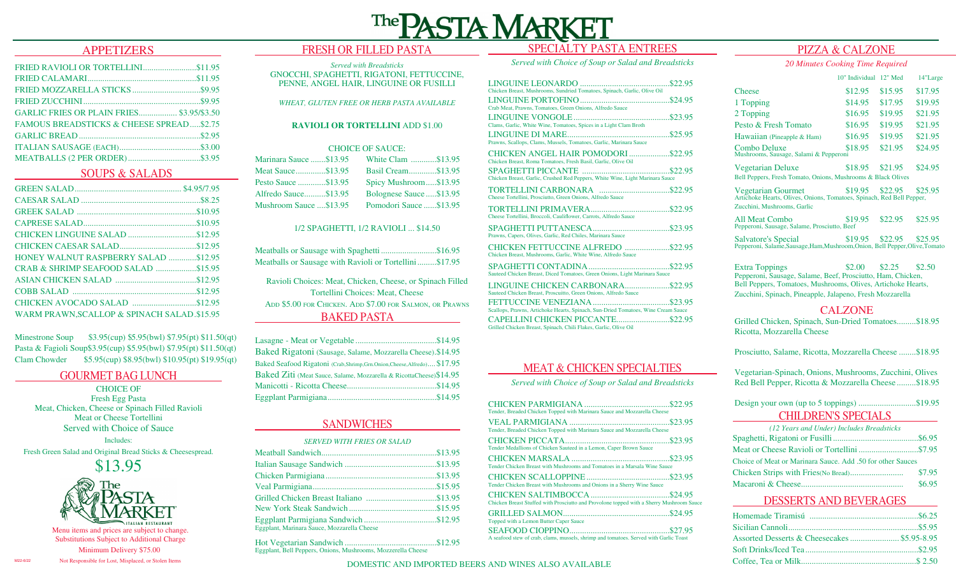# SPECIALTY PASTA ENTREES

# APPETIZERS

| GARLIC FRIES OR PLAIN FRIES \$3.95/\$3.50           |  |
|-----------------------------------------------------|--|
| <b>FAMOUS BREADSTICKS &amp; CHEESE SPREAD\$2.75</b> |  |
|                                                     |  |
|                                                     |  |
|                                                     |  |
|                                                     |  |

# SOUPS & SALADS

| <b>HONEY WALNUT RASPBERRY SALAD \$12.95</b> |  |
|---------------------------------------------|--|
| CRAB & SHRIMP SEAFOOD SALAD \$15.95         |  |
|                                             |  |
|                                             |  |
|                                             |  |
| WARM PRAWN, SCALLOP & SPINACH SALAD.\$15.95 |  |

Minestrone Soup \$3.95(cup) \$5.95(bwl) \$7.95(pt) \$11.50(qt) Pasta & Fagioli Soup\$3.95(cup) \$5.95(bwl) \$7.95(pt) \$11.50(qt) Clam Chowder \$5.95(cup) \$8.95(bwl) \$10.95(pt) \$19.95(qt)

# GOURMET BAG LUNCH

CHOICE OF Fresh Egg Pasta Meat, Chicken, Cheese or Spinach Filled Ravioli Meat or Cheese Tortellini Served with Choice of Sauce

Includes: Fresh Green Salad and Original Bread Sticks & Cheesespread.





Menu items and prices are subject to change. Substitutions Subject to Additional Charge

Not Responsible for Lost, Misplaced, or Stolen Items Minimum Delivery \$75.00

M22-6/22

# FRESH OR FILLED PASTA

### *Served with Breadsticks*  GNOCCHI, SPAGHETTI, RIGATONI, FETTUCCINE, PENNE, ANGEL HAIR, LINGUINE OR FUSILLI

*WHEAT, GLUTEN FREE OR HERB PASTA AVAILABLE*

### **RAVIOLI OR TORTELLINI** ADD \$1.00

### CHOICE OF SAUCE:

| Marinara Sauce \$13.95 | White Clam \$13.95      |
|------------------------|-------------------------|
| Meat Sauce\$13.95      | Basil Cream\$13.95      |
| Pesto Sauce \$13.95    | Spicy Mushroom\$13.95   |
| Alfredo Sauce\$13.95   | Bolognese Sauce\$13.95  |
| Mushroom Sauce \$13.95 | Pomodori Sauce  \$13.95 |

### 1/2 SPAGHETTI, 1/2 RAVIOLI ... \$14.50

| Meatballs or Sausage with Spaghetti\$16.95<br>Meatballs or Sausage with Ravioli or Tortellini\$17.95 |
|------------------------------------------------------------------------------------------------------|
| Ravioli Choices: Meat, Chicken, Cheese, or Spinach Filled<br>Tortellini Choices: Meat. Cheese        |
| ADD \$5.00 FOR CHICKEN. ADD \$7.00 FOR SALMON, OR PRAWNS                                             |
| <b>BAKED PASTA</b>                                                                                   |

| Baked Rigatoni (Sausage, Salame, Mozzarella Cheese).\$14.95                |  |
|----------------------------------------------------------------------------|--|
| Baked Seafood Rigatoni (Crab, Shrimp, Grn. Onion, Cheese, Alfredo) \$17.95 |  |
| Baked Ziti (Meat Sauce, Salame, Mozzarella & RicottaCheese) \$14.95        |  |
|                                                                            |  |
|                                                                            |  |

# SANDWICHES

| <b>SERVED WITH FRIES OR SALAD</b>           |  |
|---------------------------------------------|--|
|                                             |  |
|                                             |  |
|                                             |  |
|                                             |  |
|                                             |  |
|                                             |  |
| Eggplant, Marinara Sauce, Mozzarella Cheese |  |

Hot Vegetarian Sandwich ...........................................\$12.95 Eggplant, Bell Peppers, Onions, Mushrooms, Mozzerella Cheese

# *Served with Choice of Soup or Salad and Breadsticks*

|                                                                                                       | \$22.95 |  |
|-------------------------------------------------------------------------------------------------------|---------|--|
| Chicken Breast, Mushrooms, Sundried Tomatoes, Spinach, Garlic, Olive Oil                              |         |  |
|                                                                                                       |         |  |
| Crab Meat, Prawns, Tomatoes, Green Onions, Alfredo Sauce                                              |         |  |
| Clams, Garlic, White Wine, Tomatoes, Spices in a Light Clam Broth                                     |         |  |
| Prawns, Scallops, Clams, Mussels, Tomatoes, Garlic, Marinara Sauce                                    |         |  |
| CHICKEN ANGEL HAIR POMODORI \$22.95<br>Chicken Breast, Roma Tomatoes, Fresh Basil, Garlic, Olive Oil  |         |  |
| Chicken Breast, Garlic, Crushed Red Peppers, White Wine, Light Marinara Sauce                         |         |  |
| Cheese Tortellini, Prosciutto, Green Onions, Alfredo Sauce                                            |         |  |
| Cheese Tortellini, Broccoli, Cauliflower, Carrots, Alfredo Sauce                                      |         |  |
| Prawns, Capers, Olives, Garlic, Red Chiles, Marinara Sauce                                            |         |  |
| CHICKEN FETTUCCINE ALFREDO \$22.95<br>Chicken Breast, Mushrooms, Garlic, White Wine, Alfredo Sauce    |         |  |
| Sauteed Chicken Breast, Diced Tomatoes, Green Onions, Light Marinara Sauce                            |         |  |
| LINGUINE CHICKEN CARBONARA\$22.95<br>Sauteed Chicken Breast, Proscuitto, Green Onions, Alfredo Sauce  |         |  |
| Scallops, Prawns, Artichoke Hearts, Spinach, Sun-Dried Tomatoes, Wine Cream Sauce                     |         |  |
| CAPELLINI CHICKEN PICCANTE\$22.95<br>Grilled Chicken Breast, Spinach, Chili Flakes, Garlic, Olive Oil |         |  |
|                                                                                                       |         |  |

# MEAT & CHICKEN SPECIALTIES

*Served with Choice of Soup or Salad and Breadsticks*

| Tender, Breaded Chicken Topped with Marinara Sauce and Mozzarella Cheese                 |  |
|------------------------------------------------------------------------------------------|--|
| Tender, Breaded Chicken Topped with Marinara Sauce and Mozzarella Cheese                 |  |
| Tender Medallions of Chicken Sauteed in a Lemon, Caper Brown Sauce                       |  |
| Tender Chicken Breast with Mushrooms and Tomatoes in a Marsala Wine Sauce                |  |
| Tender Chicken Breast with Mushrooms and Onions in a Sherry Wine Sauce                   |  |
| Chicken Breast Stuffed with Prosciutto and Provolone topped with a Sherry Mushroom Sauce |  |
| Topped with a Lemon Butter Caper Sauce                                                   |  |
| A seafood stew of crab, clams, mussels, shrimp and tomatoes. Served with Garlic Toast    |  |

# PIZZA & CALZONE

*20 Minutes Cooking Time Required*

|                                                                                                                                                                                                                                                | 10" Individual 12" Med |         | 14"Large |  |
|------------------------------------------------------------------------------------------------------------------------------------------------------------------------------------------------------------------------------------------------|------------------------|---------|----------|--|
| <b>Cheese</b>                                                                                                                                                                                                                                  | \$12.95                | \$15.95 | \$17.95  |  |
| 1 Topping                                                                                                                                                                                                                                      | \$14.95                | \$17.95 | \$19.95  |  |
| 2 Topping                                                                                                                                                                                                                                      | \$16.95                | \$19.95 | \$21.95  |  |
| Pesto & Fresh Tomato                                                                                                                                                                                                                           | \$16.95                | \$19.95 | \$21.95  |  |
| Hawaiian (Pineapple & Ham)                                                                                                                                                                                                                     | \$16.95                | \$19.95 | \$21.95  |  |
| Combo Deluxe<br>Mushrooms, Sausage, Salami & Pepperoni                                                                                                                                                                                         | \$18.95                | \$21.95 | \$24.95  |  |
| <b>Vegetarian Deluxe</b><br>Bell Peppers, Fresh Tomato, Onions, Mushrooms & Black Olives                                                                                                                                                       | \$18.95                | \$21.95 | \$24.95  |  |
| \$19.95<br><b>Vegetarian Gourmet</b><br>\$22.95<br>\$25.95<br>Artichoke Hearts, Olives, Onions, Tomatoes, Spinach, Red Bell Pepper,<br>Zucchini, Mushrooms, Garlic                                                                             |                        |         |          |  |
| All Meat Combo<br>Pepperoni, Sausage, Salame, Prosciutto, Beef                                                                                                                                                                                 | \$19.95                | \$22.95 | \$25.95  |  |
| \$19.95 \$22.95<br>Salvatore's Special<br>\$25.95<br>Pepperoni, Salame, Sausage, Ham, Mushroom, Onion, Bell Pepper, Olive, Tomato                                                                                                              |                        |         |          |  |
| \$2.00<br>\$2.25<br><b>Extra Toppings</b><br>\$2.50<br>Pepperoni, Sausage, Salame, Beef, Prosciutto, Ham, Chicken,<br>Bell Peppers, Tomatoes, Mushrooms, Olives, Artichoke Hearts,<br>Zucchini, Spinach, Pineapple, Jalapeno, Fresh Mozzarella |                        |         |          |  |
| CALZONE                                                                                                                                                                                                                                        |                        |         |          |  |

Grilled Chicken, Spinach, Sun-Dried Tomatoes.........\$18.95 Ricotta, Mozzarella Cheese

Prosciutto, Salame, Ricotta, Mozzarella Cheese ........\$18.95

Vegetarian-Spinach, Onions, Mushrooms, Zucchini, Olives Red Bell Pepper, Ricotta & Mozzarella Cheese .........\$18.95

CHILDREN'S SPECIALS Design your own (up to 5 toppings) ...........................\$19.95

| (12 Years and Under) Includes Breadsticks                  |        |
|------------------------------------------------------------|--------|
|                                                            |        |
|                                                            |        |
| Choice of Meat or Marinara Sauce. Add .50 for other Sauces |        |
|                                                            | \$7.95 |
|                                                            | \$6.95 |

# DESSERTS AND BEVERAGES